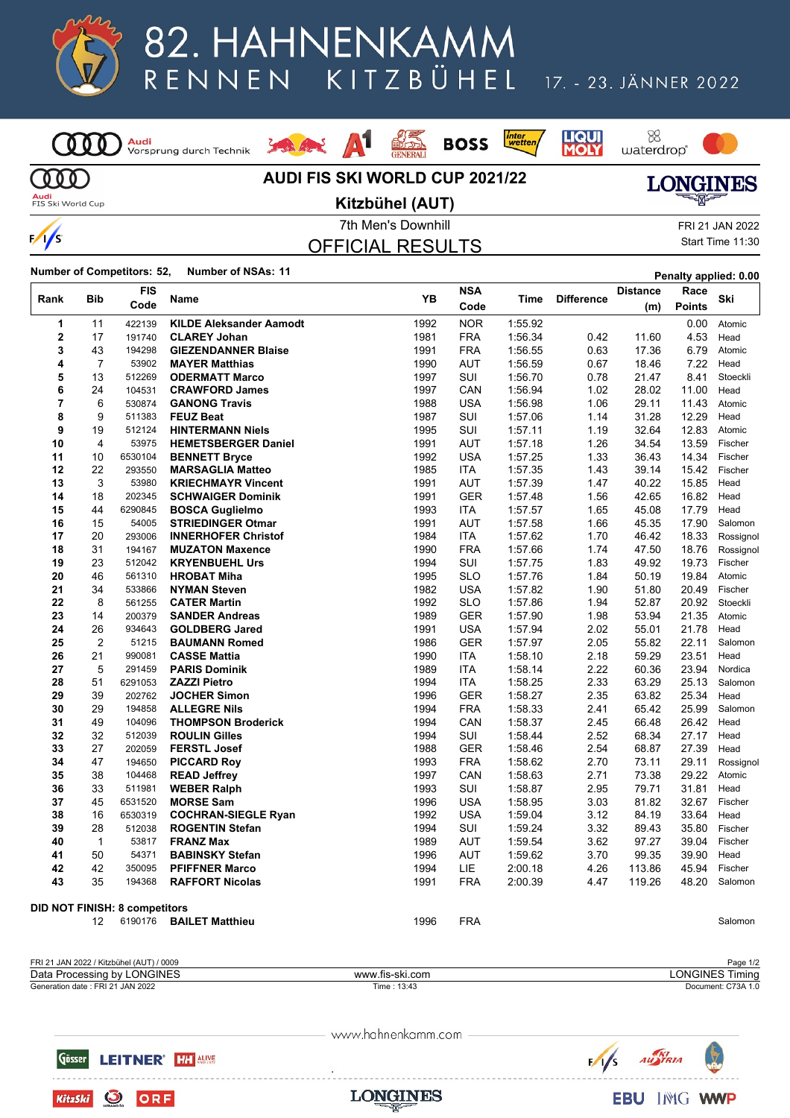

# 82. HAHNENKAMM KITZBÜHEL RENNEN

### 17. - 23. JÄNNER 2022

<mark>Audi</mark><br>Vorsprung durch Technik  $\overline{000}$  $000$ 

**副系**  $\Lambda1$ Louis Ave.







Audi<br>FIS Ski World Cup

 $\frac{1}{s}$ 

#### **AUDI FIS SKI WORLD CUP 2021/22 Kitzbühel (AUT)**



OFFICIAL RESULTS

7th Men's Downhill FRI 21 JAN 2022 Start Time 11:30

**Number of Competitors: 52, Number of NSAs: <sup>11</sup> Penalty applied: 0.00**

| Rank                                 | <b>Bib</b>     | FIS<br>Code      | Name                                      | YB           | <b>NSA</b><br>Code | Time               | <b>Difference</b> | <b>Distance</b><br>(m) | Race<br><b>Points</b> | Ski                 |
|--------------------------------------|----------------|------------------|-------------------------------------------|--------------|--------------------|--------------------|-------------------|------------------------|-----------------------|---------------------|
| 1                                    | 11             | 422139           | <b>KILDE Aleksander Aamodt</b>            | 1992         | <b>NOR</b>         | 1:55.92            |                   |                        | 0.00                  | Atomic              |
| 2                                    | 17             | 191740           | <b>CLAREY Johan</b>                       | 1981         | <b>FRA</b>         | 1:56.34            | 0.42              | 11.60                  | 4.53                  | Head                |
| 3                                    | 43             | 194298           | <b>GIEZENDANNER Blaise</b>                | 1991         | <b>FRA</b>         | 1:56.55            | 0.63              | 17.36                  | 6.79                  | Atomic              |
| 4                                    | 7              | 53902            | <b>MAYER Matthias</b>                     | 1990         | AUT                | 1:56.59            | 0.67              | 18.46                  | 7.22                  | Head                |
| 5                                    | 13             | 512269           | <b>ODERMATT Marco</b>                     | 1997         | SUI                | 1:56.70            | 0.78              | 21.47                  | 8.41                  | Stoeckli            |
| 6                                    | 24             | 104531           | <b>CRAWFORD James</b>                     | 1997         | CAN                | 1.56.94            | 1.02              | 28.02                  | 11.00                 | Head                |
| 7                                    | 6              | 530874           | <b>GANONG Travis</b>                      | 1988         | <b>USA</b>         | 1:56.98            | 1.06              | 29.11                  | 11.43                 | Atomic              |
| 8                                    | 9              | 511383           | <b>FEUZ Beat</b>                          | 1987         | SUI                | 1:57.06            | 1.14              | 31.28                  | 12.29                 | Head                |
| 9                                    | 19             | 512124           | <b>HINTERMANN Niels</b>                   | 1995         | SUI                | 1:57.11            | 1.19              | 32.64                  | 12.83                 | Atomic              |
| 10                                   | 4              | 53975            | <b>HEMETSBERGER Daniel</b>                | 1991         | <b>AUT</b>         | 1:57.18            | 1.26              | 34.54                  | 13.59                 | Fischer             |
| 11                                   | 10             | 6530104          | <b>BENNETT Bryce</b>                      | 1992         | <b>USA</b>         | 1:57.25            | 1.33              | 36.43                  | 14.34                 | Fischer             |
| 12                                   | 22             | 293550           | <b>MARSAGLIA Matteo</b>                   | 1985         | <b>ITA</b>         | 1:57.35            | 1.43              | 39.14                  | 15.42                 | Fischer             |
| 13                                   | 3              | 53980            | <b>KRIECHMAYR Vincent</b>                 | 1991         | AUT                | 1:57.39            | 1.47              | 40.22                  | 15.85                 | Head                |
| 14                                   | 18             | 202345           | <b>SCHWAIGER Dominik</b>                  | 1991         | <b>GER</b>         | 1:57.48            | 1.56              | 42.65                  | 16.82                 | Head                |
| 15                                   | 44             | 6290845          | <b>BOSCA Guglielmo</b>                    | 1993         | ITA                | 1:57.57            | 1.65              | 45.08                  | 17.79                 | Head                |
| 16                                   | 15             | 54005            | <b>STRIEDINGER Otmar</b>                  | 1991         | AUT                | 1:57.58            | 1.66              | 45.35                  | 17.90                 | Salomon             |
| 17                                   | 20             | 293006           | <b>INNERHOFER Christof</b>                | 1984         | ITA                | 1:57.62            | 1.70              | 46.42                  | 18.33                 | Rossignol           |
| 18                                   | 31             | 194167           | <b>MUZATON Maxence</b>                    | 1990         | <b>FRA</b>         | 1:57.66            | 1.74              | 47.50                  | 18.76                 | Rossignol           |
| 19                                   | 23             | 512042           | <b>KRYENBUEHL Urs</b>                     | 1994         | SUI                | 1:57.75            | 1.83              | 49.92                  | 19.73                 | Fischer             |
| 20                                   | 46             | 561310           | <b>HROBAT Miha</b>                        | 1995         | <b>SLO</b>         | 1:57.76            | 1.84              | 50.19                  | 19.84                 | Atomic              |
| 21                                   | 34             | 533866           | <b>NYMAN Steven</b>                       | 1982         | USA                | 1:57.82            | 1.90              | 51.80                  | 20.49                 | Fischer             |
| 22                                   | 8              | 561255           | <b>CATER Martin</b>                       | 1992         | <b>SLO</b>         | 1:57.86            | 1.94              | 52.87                  | 20.92                 | Stoeckli            |
| 23                                   | 14             | 200379           | <b>SANDER Andreas</b>                     | 1989         | GER                | 1:57.90            | 1.98              | 53.94                  | 21.35                 | Atomic              |
| 24                                   | 26             | 934643           | <b>GOLDBERG Jared</b>                     | 1991         | USA                | 1:57.94            | 2.02              | 55.01                  | 21.78                 | Head                |
| 25                                   | $\overline{2}$ | 51215            | <b>BAUMANN Romed</b>                      | 1986         | <b>GER</b>         | 1.57.97            | 2.05              | 55.82                  | 22.11                 | Salomon             |
| 26                                   | 21             | 990081           | <b>CASSE Mattia</b>                       | 1990         | ITA                | 1:58.10            | 2.18              | 59.29                  | 23.51                 | Head                |
| 27                                   | 5              | 291459           | <b>PARIS Dominik</b>                      | 1989         | <b>ITA</b>         | 1.58.14            | 2.22              | 60.36                  | 23.94                 | Nordica             |
| 28                                   | 51             | 6291053          | <b>ZAZZI Pietro</b>                       | 1994         | <b>ITA</b>         | 1:58.25            | 2.33              | 63.29                  | 25.13                 | Salomon             |
| 29                                   | 39             | 202762           | <b>JOCHER Simon</b>                       | 1996         | GER                | 1:58.27            | 2.35              | 63.82                  | 25.34                 | Head                |
| 30                                   | 29             | 194858           | <b>ALLEGRE Nils</b>                       | 1994         | <b>FRA</b>         | 1:58.33            | 2.41              | 65.42                  | 25.99                 | Salomon             |
| 31                                   | 49             | 104096           | <b>THOMPSON Broderick</b>                 | 1994         | CAN                | 1:58.37            | 2.45              | 66.48                  | 26.42                 | Head                |
| 32                                   | 32             | 512039           | <b>ROULIN Gilles</b>                      | 1994         | <b>SUI</b>         | 1:58.44            | 2.52              | 68.34                  | 27.17                 | Head                |
| 33                                   | 27<br>47       | 202059           | <b>FERSTL Josef</b>                       | 1988         | <b>GER</b>         | 1:58.46            | 2.54              | 68.87                  | 27.39                 | Head                |
| 34                                   | 38             | 194650           | <b>PICCARD Roy</b>                        | 1993         | <b>FRA</b>         | 1:58.62            | 2.70              | 73.11                  | 29.11<br>29.22        | Rossignol<br>Atomic |
| 35<br>36                             | 33             | 104468<br>511981 | <b>READ Jeffrey</b><br><b>WEBER Ralph</b> | 1997<br>1993 | CAN<br>SUI         | 1:58.63<br>1:58.87 | 2.71<br>2.95      | 73.38<br>79.71         | 31.81                 | Head                |
| 37                                   | 45             | 6531520          | <b>MORSE Sam</b>                          | 1996         | <b>USA</b>         | 1:58.95            | 3.03              | 81.82                  | 32.67                 | Fischer             |
| 38                                   | 16             | 6530319          | <b>COCHRAN-SIEGLE Ryan</b>                | 1992         | <b>USA</b>         | 1:59.04            | 3.12              | 84.19                  | 33.64                 | Head                |
| 39                                   | 28             | 512038           | <b>ROGENTIN Stefan</b>                    | 1994         | SUI                | 1.59.24            | 3.32              | 89.43                  | 35.80                 | Fischer             |
| 40                                   | $\mathbf{1}$   | 53817            | <b>FRANZ Max</b>                          | 1989         | AUT                | 1:59.54            | 3.62              | 97.27                  | 39.04                 | Fischer             |
| 41                                   | 50             | 54371            | <b>BABINSKY Stefan</b>                    | 1996         | <b>AUT</b>         | 1.59.62            | 3.70              | 99.35                  | 39.90                 | Head                |
| 42                                   | 42             | 350095           | <b>PFIFFNER Marco</b>                     | 1994         | LIE.               | 2:00.18            | 4.26              | 113.86                 | 45.94                 | Fischer             |
| 43                                   | 35             | 194368           | <b>RAFFORT Nicolas</b>                    | 1991         | <b>FRA</b>         | 2:00.39            | 4.47              | 119.26                 | 48.20                 | Salomon             |
|                                      |                |                  |                                           |              |                    |                    |                   |                        |                       |                     |
| <b>DID NOT FINISH: 8 competitors</b> |                |                  |                                           |              |                    |                    |                   |                        |                       |                     |
|                                      | 12             | 6190176          | <b>BAILET Matthieu</b>                    | 1996         | <b>FRA</b>         |                    |                   |                        |                       | Salomon             |
|                                      |                |                  |                                           |              |                    |                    |                   |                        |                       |                     |

| I JAN 2022 / Kitzbühel (AUT) / 0009<br><b>FRI 21</b> |                                 | 1/2<br>Page        |
|------------------------------------------------------|---------------------------------|--------------------|
| <b>ONGINES</b><br>Data I<br>hv l<br>Processing       | -ski.com<br><b>MAAAA</b><br>tıs | ONGINE:<br>'imina  |
| Generation date: FRI 21 JAN 2022                     | : 13:43<br>Time.                | Document: C73A 1.0 |

www.hahnenkamm.com

Gösser **LEITNER' HARMS** 



**O** ORF KitzSki